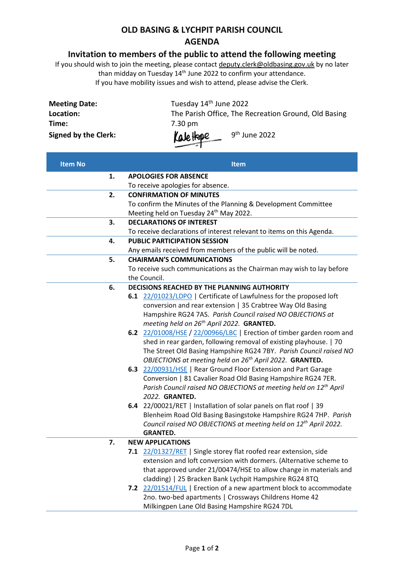## **OLD BASING & LYCHPIT PARISH COUNCIL AGENDA**

## **Invitation to members of the public to attend the following meeting**

If you should wish to join the meeting, please contac[t deputy.clerk@oldbasing.gov.uk](mailto:deputy.clerk@oldbasing.gov.uk) by no later than midday on Tuesday 14th June 2022 to confirm your attendance. If you have mobility issues and wish to attend, please advise the Clerk.

| <b>Meeting Date:</b>        | Tuesday 14 <sup>th</sup> June 2022                   |
|-----------------------------|------------------------------------------------------|
| Location:                   | The Parish Office, The Recreation Ground, Old Basing |
| Time:                       | 7.30 pm                                              |
| <b>Signed by the Clerk:</b> | KaleHope<br>9 <sup>th</sup> June 2022                |

| <b>APOLOGIES FOR ABSENCE</b><br>1.<br>To receive apologies for absence.<br>2.<br><b>CONFIRMATION OF MINUTES</b><br>To confirm the Minutes of the Planning & Development Committee<br>Meeting held on Tuesday 24 <sup>th</sup> May 2022.<br><b>DECLARATIONS OF INTEREST</b><br>3.<br>To receive declarations of interest relevant to items on this Agenda. |
|-----------------------------------------------------------------------------------------------------------------------------------------------------------------------------------------------------------------------------------------------------------------------------------------------------------------------------------------------------------|
|                                                                                                                                                                                                                                                                                                                                                           |
|                                                                                                                                                                                                                                                                                                                                                           |
|                                                                                                                                                                                                                                                                                                                                                           |
|                                                                                                                                                                                                                                                                                                                                                           |
|                                                                                                                                                                                                                                                                                                                                                           |
|                                                                                                                                                                                                                                                                                                                                                           |
|                                                                                                                                                                                                                                                                                                                                                           |
| <b>PUBLIC PARTICIPATION SESSION</b><br>4.                                                                                                                                                                                                                                                                                                                 |
| Any emails received from members of the public will be noted.                                                                                                                                                                                                                                                                                             |
| 5.<br><b>CHAIRMAN'S COMMUNICATIONS</b>                                                                                                                                                                                                                                                                                                                    |
| To receive such communications as the Chairman may wish to lay before                                                                                                                                                                                                                                                                                     |
| the Council.                                                                                                                                                                                                                                                                                                                                              |
| DECISIONS REACHED BY THE PLANNING AUTHORITY<br>6.                                                                                                                                                                                                                                                                                                         |
| 6.1 22/01023/LDPO   Certificate of Lawfulness for the proposed loft                                                                                                                                                                                                                                                                                       |
| conversion and rear extension   35 Crabtree Way Old Basing                                                                                                                                                                                                                                                                                                |
| Hampshire RG24 7AS. Parish Council raised NO OBJECTIONS at                                                                                                                                                                                                                                                                                                |
| meeting held on 26 <sup>th</sup> April 2022. GRANTED.                                                                                                                                                                                                                                                                                                     |
| 6.2 22/01008/HSE / 22/00966/LBC   Erection of timber garden room and                                                                                                                                                                                                                                                                                      |
| shed in rear garden, following removal of existing playhouse.   70                                                                                                                                                                                                                                                                                        |
| The Street Old Basing Hampshire RG24 7BY. Parish Council raised NO                                                                                                                                                                                                                                                                                        |
| OBJECTIONS at meeting held on 26 <sup>th</sup> April 2022. GRANTED.                                                                                                                                                                                                                                                                                       |
| 6.3 22/00931/HSE   Rear Ground Floor Extension and Part Garage                                                                                                                                                                                                                                                                                            |
| Conversion   81 Cavalier Road Old Basing Hampshire RG24 7ER.                                                                                                                                                                                                                                                                                              |
| Parish Council raised NO OBJECTIONS at meeting held on 12 <sup>th</sup> April                                                                                                                                                                                                                                                                             |
| 2022. GRANTED.                                                                                                                                                                                                                                                                                                                                            |
| 6.4 22/00021/RET   Installation of solar panels on flat roof   39<br>Blenheim Road Old Basing Basingstoke Hampshire RG24 7HP. Parish                                                                                                                                                                                                                      |
| Council raised NO OBJECTIONS at meeting held on 12th April 2022.                                                                                                                                                                                                                                                                                          |
| <b>GRANTED.</b>                                                                                                                                                                                                                                                                                                                                           |
| 7.<br><b>NEW APPLICATIONS</b>                                                                                                                                                                                                                                                                                                                             |
| 7.1 22/01327/RET   Single storey flat roofed rear extension, side                                                                                                                                                                                                                                                                                         |
| extension and loft conversion with dormers. (Alternative scheme to                                                                                                                                                                                                                                                                                        |
| that approved under 21/00474/HSE to allow change in materials and                                                                                                                                                                                                                                                                                         |
| cladding)   25 Bracken Bank Lychpit Hampshire RG24 8TQ                                                                                                                                                                                                                                                                                                    |
| 7.2 22/01514/FUL   Erection of a new apartment block to accommodate                                                                                                                                                                                                                                                                                       |
| 2no. two-bed apartments   Crossways Childrens Home 42                                                                                                                                                                                                                                                                                                     |
| Milkingpen Lane Old Basing Hampshire RG24 7DL                                                                                                                                                                                                                                                                                                             |